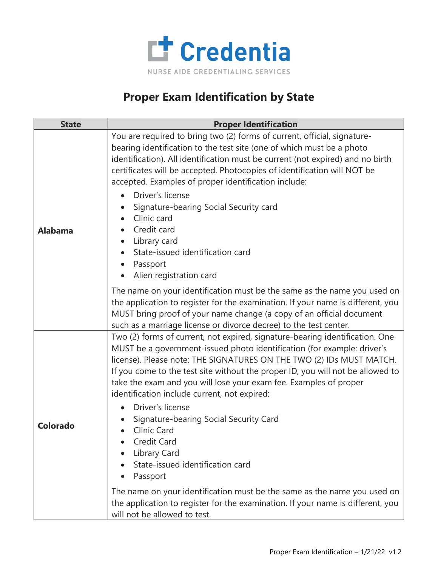

## **Proper Exam Identification by State**

| <b>State</b>    | <b>Proper Identification</b>                                                                                                                                                                                                                                                                                                                                                                                                                                                                                                                                                                              |
|-----------------|-----------------------------------------------------------------------------------------------------------------------------------------------------------------------------------------------------------------------------------------------------------------------------------------------------------------------------------------------------------------------------------------------------------------------------------------------------------------------------------------------------------------------------------------------------------------------------------------------------------|
| <b>Alabama</b>  | You are required to bring two (2) forms of current, official, signature-<br>bearing identification to the test site (one of which must be a photo<br>identification). All identification must be current (not expired) and no birth<br>certificates will be accepted. Photocopies of identification will NOT be<br>accepted. Examples of proper identification include:<br>Driver's license<br>Signature-bearing Social Security card<br>Clinic card<br>Credit card<br>Library card<br>State-issued identification card<br>Passport<br>Alien registration card                                            |
|                 | The name on your identification must be the same as the name you used on<br>the application to register for the examination. If your name is different, you<br>MUST bring proof of your name change (a copy of an official document<br>such as a marriage license or divorce decree) to the test center.                                                                                                                                                                                                                                                                                                  |
| <b>Colorado</b> | Two (2) forms of current, not expired, signature-bearing identification. One<br>MUST be a government-issued photo identification (for example: driver's<br>license). Please note: THE SIGNATURES ON THE TWO (2) IDs MUST MATCH.<br>If you come to the test site without the proper ID, you will not be allowed to<br>take the exam and you will lose your exam fee. Examples of proper<br>identification include current, not expired:<br>Driver's license<br>Signature-bearing Social Security Card<br>Clinic Card<br><b>Credit Card</b><br>Library Card<br>State-issued identification card<br>Passport |
|                 | The name on your identification must be the same as the name you used on<br>the application to register for the examination. If your name is different, you<br>will not be allowed to test.                                                                                                                                                                                                                                                                                                                                                                                                               |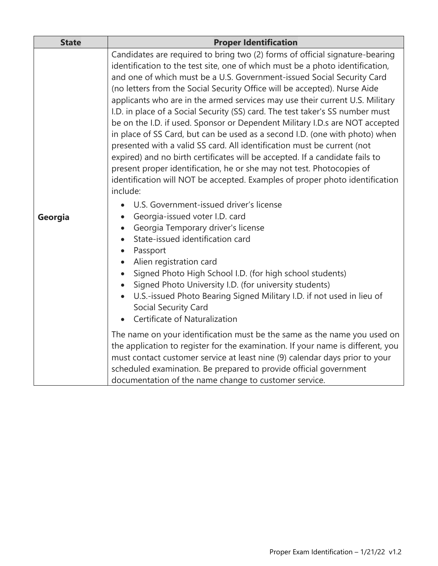| <b>State</b> | <b>Proper Identification</b>                                                                                                                                                                                                                                                                                                                                                                                                                                                                                                                                                                                                                                                                                                                                                                                                                                                                                                                                                         |
|--------------|--------------------------------------------------------------------------------------------------------------------------------------------------------------------------------------------------------------------------------------------------------------------------------------------------------------------------------------------------------------------------------------------------------------------------------------------------------------------------------------------------------------------------------------------------------------------------------------------------------------------------------------------------------------------------------------------------------------------------------------------------------------------------------------------------------------------------------------------------------------------------------------------------------------------------------------------------------------------------------------|
| Georgia      | Candidates are required to bring two (2) forms of official signature-bearing<br>identification to the test site, one of which must be a photo identification,<br>and one of which must be a U.S. Government-issued Social Security Card<br>(no letters from the Social Security Office will be accepted). Nurse Aide<br>applicants who are in the armed services may use their current U.S. Military<br>I.D. in place of a Social Security (SS) card. The test taker's SS number must<br>be on the I.D. if used. Sponsor or Dependent Military I.D.s are NOT accepted<br>in place of SS Card, but can be used as a second I.D. (one with photo) when<br>presented with a valid SS card. All identification must be current (not<br>expired) and no birth certificates will be accepted. If a candidate fails to<br>present proper identification, he or she may not test. Photocopies of<br>identification will NOT be accepted. Examples of proper photo identification<br>include: |
|              | U.S. Government-issued driver's license<br>Georgia-issued voter I.D. card<br>$\bullet$<br>Georgia Temporary driver's license<br>State-issued identification card<br>Passport<br>Alien registration card<br>Signed Photo High School I.D. (for high school students)<br>$\bullet$<br>Signed Photo University I.D. (for university students)<br>U.S.-issued Photo Bearing Signed Military I.D. if not used in lieu of<br><b>Social Security Card</b><br>Certificate of Naturalization                                                                                                                                                                                                                                                                                                                                                                                                                                                                                                  |
|              | The name on your identification must be the same as the name you used on<br>the application to register for the examination. If your name is different, you<br>must contact customer service at least nine (9) calendar days prior to your<br>scheduled examination. Be prepared to provide official government<br>documentation of the name change to customer service.                                                                                                                                                                                                                                                                                                                                                                                                                                                                                                                                                                                                             |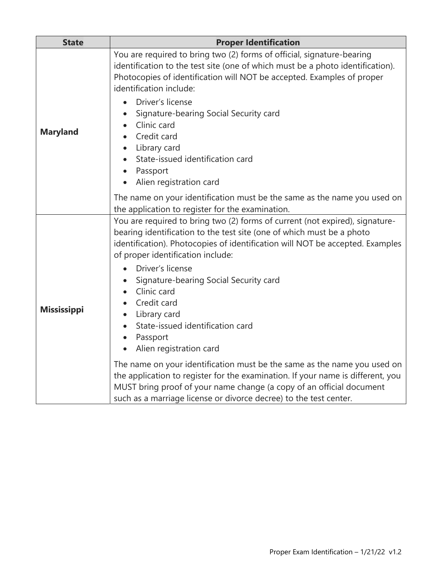| <b>State</b>       | <b>Proper Identification</b>                                                                                                                                                                                                                                                                                                                                                                                                                                      |
|--------------------|-------------------------------------------------------------------------------------------------------------------------------------------------------------------------------------------------------------------------------------------------------------------------------------------------------------------------------------------------------------------------------------------------------------------------------------------------------------------|
| <b>Maryland</b>    | You are required to bring two (2) forms of official, signature-bearing<br>identification to the test site (one of which must be a photo identification).<br>Photocopies of identification will NOT be accepted. Examples of proper<br>identification include:<br>Driver's license<br>Signature-bearing Social Security card<br>Clinic card<br>Credit card<br>Library card<br>$\bullet$<br>State-issued identification card<br>Passport<br>Alien registration card |
|                    | The name on your identification must be the same as the name you used on<br>the application to register for the examination.                                                                                                                                                                                                                                                                                                                                      |
| <b>Mississippi</b> | You are required to bring two (2) forms of current (not expired), signature-<br>bearing identification to the test site (one of which must be a photo<br>identification). Photocopies of identification will NOT be accepted. Examples<br>of proper identification include:<br>Driver's license                                                                                                                                                                   |
|                    | Signature-bearing Social Security card<br>Clinic card<br>Credit card<br>Library card<br>$\bullet$<br>State-issued identification card<br>Passport<br>Alien registration card<br>$\bullet$                                                                                                                                                                                                                                                                         |
|                    | The name on your identification must be the same as the name you used on<br>the application to register for the examination. If your name is different, you<br>MUST bring proof of your name change (a copy of an official document<br>such as a marriage license or divorce decree) to the test center.                                                                                                                                                          |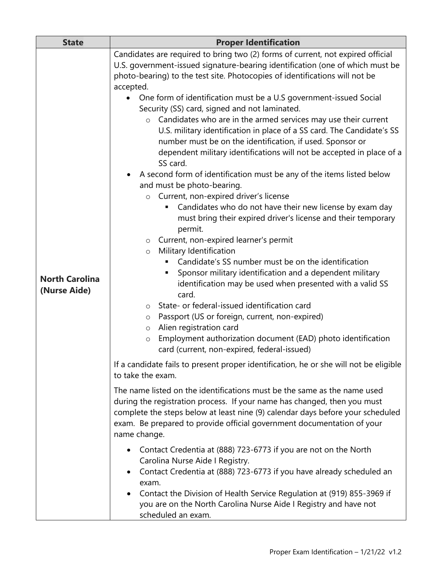| <b>State</b>                          | <b>Proper Identification</b>                                                                                                                                                                                                                                                                                                                                                                                                                                                                                                                                                                                                                                                                                                                                                                                                                                                                                                                                                                                                                                                                                                                                |
|---------------------------------------|-------------------------------------------------------------------------------------------------------------------------------------------------------------------------------------------------------------------------------------------------------------------------------------------------------------------------------------------------------------------------------------------------------------------------------------------------------------------------------------------------------------------------------------------------------------------------------------------------------------------------------------------------------------------------------------------------------------------------------------------------------------------------------------------------------------------------------------------------------------------------------------------------------------------------------------------------------------------------------------------------------------------------------------------------------------------------------------------------------------------------------------------------------------|
|                                       | Candidates are required to bring two (2) forms of current, not expired official<br>U.S. government-issued signature-bearing identification (one of which must be<br>photo-bearing) to the test site. Photocopies of identifications will not be<br>accepted.<br>One form of identification must be a U.S government-issued Social<br>$\bullet$<br>Security (SS) card, signed and not laminated.<br>Candidates who are in the armed services may use their current<br>$\circ$<br>U.S. military identification in place of a SS card. The Candidate's SS<br>number must be on the identification, if used. Sponsor or<br>dependent military identifications will not be accepted in place of a<br>SS card.<br>A second form of identification must be any of the items listed below<br>and must be photo-bearing.<br>Current, non-expired driver's license<br>$\circ$<br>Candidates who do not have their new license by exam day<br>п<br>must bring their expired driver's license and their temporary<br>permit.<br>Current, non-expired learner's permit<br>O<br>Military Identification<br>$\circ$<br>Candidate's SS number must be on the identification |
| <b>North Carolina</b><br>(Nurse Aide) | Sponsor military identification and a dependent military<br>identification may be used when presented with a valid SS<br>card.<br>State- or federal-issued identification card<br>$\circ$<br>Passport (US or foreign, current, non-expired)<br>$\circ$<br>Alien registration card<br>O<br>Employment authorization document (EAD) photo identification<br>$\circ$<br>card (current, non-expired, federal-issued)<br>If a candidate fails to present proper identification, he or she will not be eligible<br>to take the exam.<br>The name listed on the identifications must be the same as the name used<br>during the registration process. If your name has changed, then you must<br>complete the steps below at least nine (9) calendar days before your scheduled<br>exam. Be prepared to provide official government documentation of your<br>name change.<br>Contact Credentia at (888) 723-6773 if you are not on the North<br>$\bullet$<br>Carolina Nurse Aide I Registry.<br>Contact Credentia at (888) 723-6773 if you have already scheduled an                                                                                               |
|                                       | exam.<br>Contact the Division of Health Service Regulation at (919) 855-3969 if<br>you are on the North Carolina Nurse Aide I Registry and have not<br>scheduled an exam.                                                                                                                                                                                                                                                                                                                                                                                                                                                                                                                                                                                                                                                                                                                                                                                                                                                                                                                                                                                   |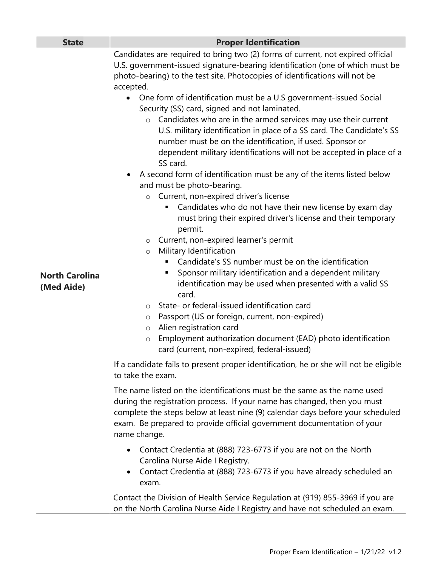| <b>State</b>          | <b>Proper Identification</b>                                                                                                       |
|-----------------------|------------------------------------------------------------------------------------------------------------------------------------|
|                       | Candidates are required to bring two (2) forms of current, not expired official                                                    |
|                       | U.S. government-issued signature-bearing identification (one of which must be                                                      |
|                       | photo-bearing) to the test site. Photocopies of identifications will not be                                                        |
|                       | accepted.                                                                                                                          |
|                       | One form of identification must be a U.S government-issued Social<br>$\bullet$                                                     |
|                       | Security (SS) card, signed and not laminated.                                                                                      |
|                       | $\circ$ Candidates who are in the armed services may use their current                                                             |
|                       | U.S. military identification in place of a SS card. The Candidate's SS                                                             |
|                       | number must be on the identification, if used. Sponsor or<br>dependent military identifications will not be accepted in place of a |
|                       | SS card.                                                                                                                           |
|                       | A second form of identification must be any of the items listed below                                                              |
|                       | and must be photo-bearing.                                                                                                         |
|                       | Current, non-expired driver's license<br>$\circ$                                                                                   |
|                       | Candidates who do not have their new license by exam day<br>٠                                                                      |
|                       | must bring their expired driver's license and their temporary                                                                      |
|                       | permit.                                                                                                                            |
|                       | Current, non-expired learner's permit<br>$\circ$                                                                                   |
|                       | Military Identification<br>$\circ$                                                                                                 |
|                       | Candidate's SS number must be on the identification                                                                                |
| <b>North Carolina</b> | Sponsor military identification and a dependent military<br>٠                                                                      |
| (Med Aide)            | identification may be used when presented with a valid SS<br>card.                                                                 |
|                       | State- or federal-issued identification card<br>$\circ$                                                                            |
|                       | Passport (US or foreign, current, non-expired)<br>O                                                                                |
|                       | Alien registration card<br>O                                                                                                       |
|                       | Employment authorization document (EAD) photo identification<br>$\circ$                                                            |
|                       | card (current, non-expired, federal-issued)                                                                                        |
|                       | If a candidate fails to present proper identification, he or she will not be eligible                                              |
|                       | to take the exam.                                                                                                                  |
|                       | The name listed on the identifications must be the same as the name used                                                           |
|                       | during the registration process. If your name has changed, then you must                                                           |
|                       | complete the steps below at least nine (9) calendar days before your scheduled                                                     |
|                       | exam. Be prepared to provide official government documentation of your                                                             |
|                       | name change.                                                                                                                       |
|                       | Contact Credentia at (888) 723-6773 if you are not on the North<br>$\bullet$                                                       |
|                       | Carolina Nurse Aide I Registry.                                                                                                    |
|                       | Contact Credentia at (888) 723-6773 if you have already scheduled an                                                               |
|                       | exam.                                                                                                                              |
|                       | Contact the Division of Health Service Regulation at (919) 855-3969 if you are                                                     |
|                       | on the North Carolina Nurse Aide I Registry and have not scheduled an exam.                                                        |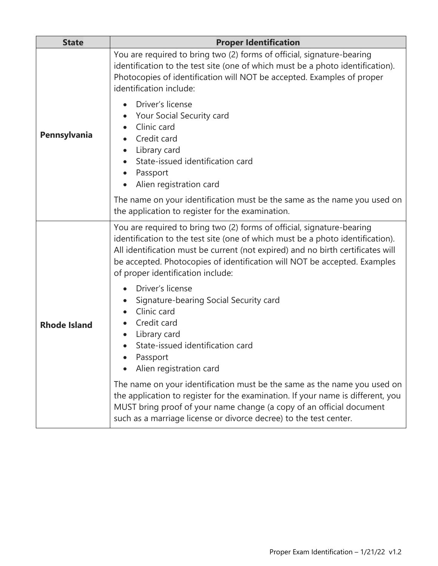| <b>State</b>        | <b>Proper Identification</b>                                                                                                                                                                                                                                                                                                                                  |
|---------------------|---------------------------------------------------------------------------------------------------------------------------------------------------------------------------------------------------------------------------------------------------------------------------------------------------------------------------------------------------------------|
| Pennsylvania        | You are required to bring two (2) forms of official, signature-bearing<br>identification to the test site (one of which must be a photo identification).<br>Photocopies of identification will NOT be accepted. Examples of proper<br>identification include:                                                                                                 |
|                     | Driver's license<br>Your Social Security card<br>Clinic card<br>Credit card<br>Library card<br>State-issued identification card<br>Passport<br>Alien registration card                                                                                                                                                                                        |
|                     | The name on your identification must be the same as the name you used on<br>the application to register for the examination.                                                                                                                                                                                                                                  |
|                     | You are required to bring two (2) forms of official, signature-bearing<br>identification to the test site (one of which must be a photo identification).<br>All identification must be current (not expired) and no birth certificates will<br>be accepted. Photocopies of identification will NOT be accepted. Examples<br>of proper identification include: |
| <b>Rhode Island</b> | Driver's license<br>Signature-bearing Social Security card<br>Clinic card<br>Credit card<br>Library card<br>$\bullet$<br>State-issued identification card<br>Passport<br>Alien registration card                                                                                                                                                              |
|                     | The name on your identification must be the same as the name you used on<br>the application to register for the examination. If your name is different, you<br>MUST bring proof of your name change (a copy of an official document<br>such as a marriage license or divorce decree) to the test center.                                                      |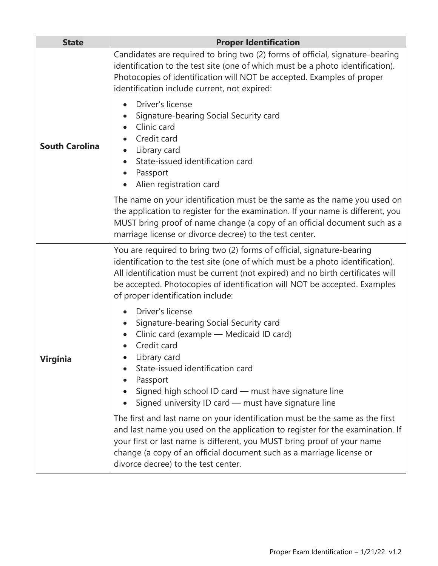| <b>State</b>          | <b>Proper Identification</b>                                                                                                                                                                                                                                                                                                                                  |
|-----------------------|---------------------------------------------------------------------------------------------------------------------------------------------------------------------------------------------------------------------------------------------------------------------------------------------------------------------------------------------------------------|
| <b>South Carolina</b> | Candidates are required to bring two (2) forms of official, signature-bearing<br>identification to the test site (one of which must be a photo identification).<br>Photocopies of identification will NOT be accepted. Examples of proper<br>identification include current, not expired:                                                                     |
|                       | Driver's license<br>Signature-bearing Social Security card<br>Clinic card<br>Credit card<br>Library card<br>State-issued identification card<br>Passport<br>Alien registration card                                                                                                                                                                           |
|                       | The name on your identification must be the same as the name you used on<br>the application to register for the examination. If your name is different, you<br>MUST bring proof of name change (a copy of an official document such as a<br>marriage license or divorce decree) to the test center.                                                           |
| Virginia              | You are required to bring two (2) forms of official, signature-bearing<br>identification to the test site (one of which must be a photo identification).<br>All identification must be current (not expired) and no birth certificates will<br>be accepted. Photocopies of identification will NOT be accepted. Examples<br>of proper identification include: |
|                       | Driver's license<br>Signature-bearing Social Security card<br>Clinic card (example - Medicaid ID card)<br>Credit card<br>Library card<br>State-issued identification card<br>Passport<br>Signed high school ID card - must have signature line<br>Signed university ID card - must have signature line                                                        |
|                       | The first and last name on your identification must be the same as the first<br>and last name you used on the application to register for the examination. If<br>your first or last name is different, you MUST bring proof of your name<br>change (a copy of an official document such as a marriage license or<br>divorce decree) to the test center.       |